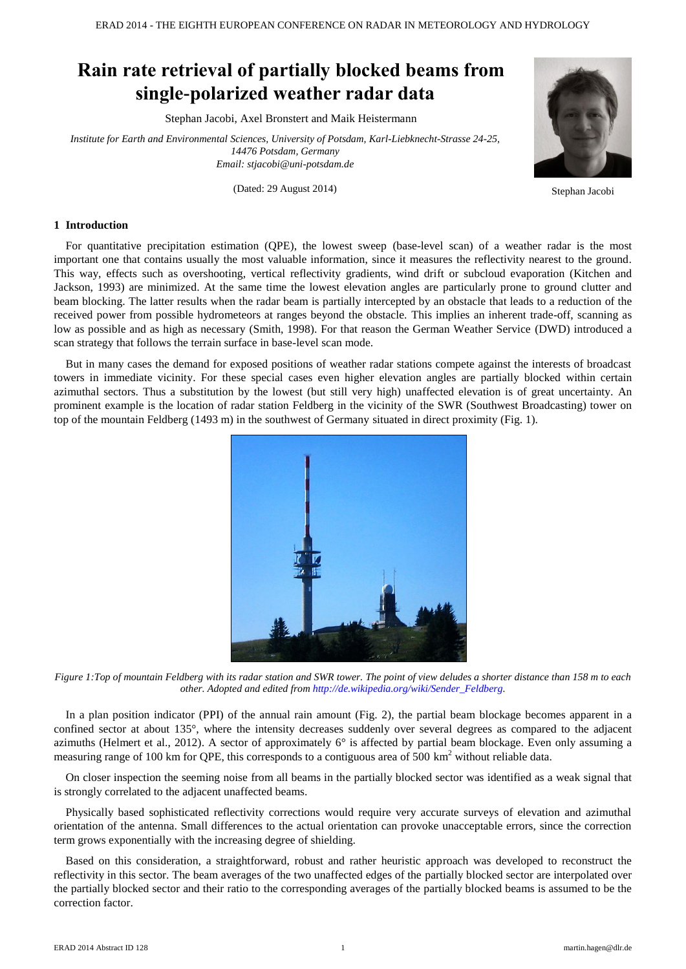# **Rain rate retrieval of partially blocked beams from single-polarized weather radar data**

Stephan Jacobi, Axel Bronstert and Maik Heistermann

*Institute for Earth and Environmental Sciences, University of Potsdam, Karl-Liebknecht-Strasse 24-25, 14476 Potsdam, Germany Email: stjacobi@uni-potsdam.de*

(Dated: 29 August 2014) Stephan Jacobi



#### **1 Introduction**

For quantitative precipitation estimation (QPE), the lowest sweep (base-level scan) of a weather radar is the most important one that contains usually the most valuable information, since it measures the reflectivity nearest to the ground. This way, effects such as overshooting, vertical reflectivity gradients, wind drift or subcloud evaporation (Kitchen and Jackson, 1993) are minimized. At the same time the lowest elevation angles are particularly prone to ground clutter and beam blocking. The latter results when the radar beam is partially intercepted by an obstacle that leads to a reduction of the received power from possible hydrometeors at ranges beyond the obstacle. This implies an inherent trade-off, scanning as low as possible and as high as necessary (Smith, 1998). For that reason the German Weather Service (DWD) introduced a scan strategy that follows the terrain surface in base-level scan mode.

But in many cases the demand for exposed positions of weather radar stations compete against the interests of broadcast towers in immediate vicinity. For these special cases even higher elevation angles are partially blocked within certain azimuthal sectors. Thus a substitution by the lowest (but still very high) unaffected elevation is of great uncertainty. An prominent example is the location of radar station Feldberg in the vicinity of the SWR (Southwest Broadcasting) tower on top of the mountain Feldberg (1493 m) in the southwest of Germany situated in direct proximity (Fig. 1).



*Figure 1:Top of mountain Feldberg with its radar station and SWR tower. The point of view deludes a shorter distance than 158 m to each other. Adopted and edited fro[m http://de.wikipedia.org/wiki/Sender\\_Feldberg.](http://de.wikipedia.org/wiki/Sender_Feldberg)*

In a plan position indicator (PPI) of the annual rain amount (Fig. 2), the partial beam blockage becomes apparent in a confined sector at about 135°, where the intensity decreases suddenly over several degrees as compared to the adjacent azimuths (Helmert et al., 2012). A sector of approximately  $6^\circ$  is affected by partial beam blockage. Even only assuming a measuring range of 100 km for QPE, this corresponds to a contiguous area of 500 km<sup>2</sup> without reliable data.

On closer inspection the seeming noise from all beams in the partially blocked sector was identified as a weak signal that is strongly correlated to the adjacent unaffected beams.

Physically based sophisticated reflectivity corrections would require very accurate surveys of elevation and azimuthal orientation of the antenna. Small differences to the actual orientation can provoke unacceptable errors, since the correction term grows exponentially with the increasing degree of shielding.

Based on this consideration, a straightforward, robust and rather heuristic approach was developed to reconstruct the reflectivity in this sector. The beam averages of the two unaffected edges of the partially blocked sector are interpolated over the partially blocked sector and their ratio to the corresponding averages of the partially blocked beams is assumed to be the correction factor.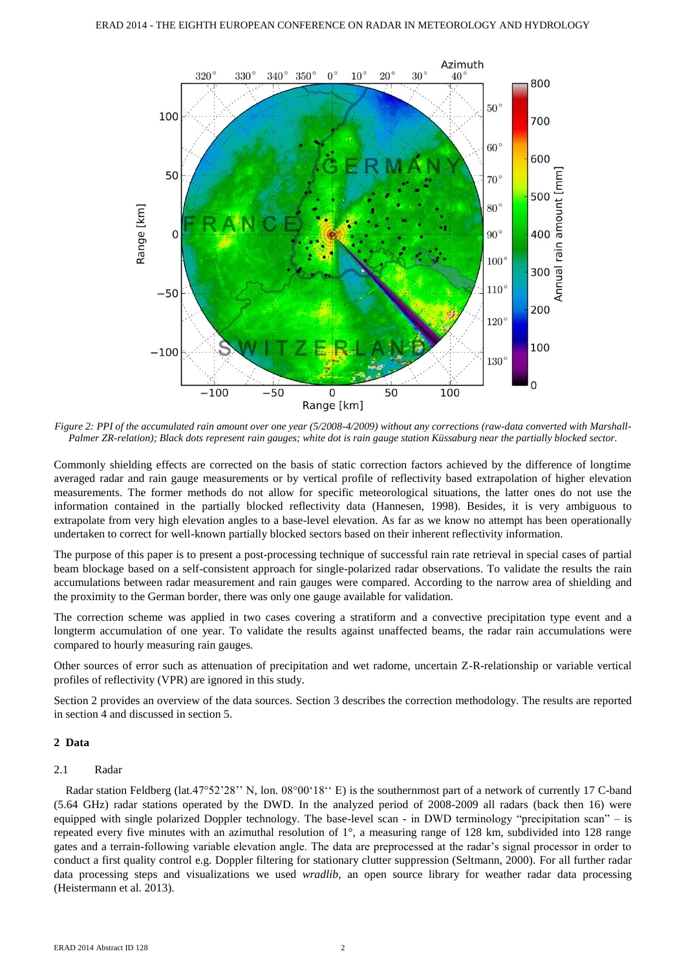

*Figure 2: PPI of the accumulated rain amount over one year (5/2008-4/2009) without any corrections (raw-data converted with Marshall-Palmer ZR-relation); Black dots represent rain gauges; white dot is rain gauge station Küssaburg near the partially blocked sector.*

Commonly shielding effects are corrected on the basis of static correction factors achieved by the difference of longtime averaged radar and rain gauge measurements or by vertical profile of reflectivity based extrapolation of higher elevation measurements. The former methods do not allow for specific meteorological situations, the latter ones do not use the information contained in the partially blocked reflectivity data (Hannesen, 1998). Besides, it is very ambiguous to extrapolate from very high elevation angles to a base-level elevation. As far as we know no attempt has been operationally undertaken to correct for well-known partially blocked sectors based on their inherent reflectivity information.

The purpose of this paper is to present a post-processing technique of successful rain rate retrieval in special cases of partial beam blockage based on a self-consistent approach for single-polarized radar observations. To validate the results the rain accumulations between radar measurement and rain gauges were compared. According to the narrow area of shielding and the proximity to the German border, there was only one gauge available for validation.

The correction scheme was applied in two cases covering a stratiform and a convective precipitation type event and a longterm accumulation of one year. To validate the results against unaffected beams, the radar rain accumulations were compared to hourly measuring rain gauges.

Other sources of error such as attenuation of precipitation and wet radome, uncertain Z-R-relationship or variable vertical profiles of reflectivity (VPR) are ignored in this study.

Section 2 provides an overview of the data sources. Section 3 describes the correction methodology. The results are reported in section 4 and discussed in section 5.

# **2 Data**

# 2.1 Radar

Radar station Feldberg (lat.47°52'28'' N, lon. 08°00'18'' E) is the southernmost part of a network of currently 17 C-band (5.64 GHz) radar stations operated by the DWD. In the analyzed period of 2008-2009 all radars (back then 16) were equipped with single polarized Doppler technology. The base-level scan - in DWD terminology "precipitation scan" – is repeated every five minutes with an azimuthal resolution of 1°, a measuring range of 128 km, subdivided into 128 range gates and a terrain-following variable elevation angle. The data are preprocessed at the radar's signal processor in order to conduct a first quality control e.g. Doppler filtering for stationary clutter suppression (Seltmann, 2000). For all further radar data processing steps and visualizations we used *wradlib*, an open source library for weather radar data processing (Heistermann et al. 2013).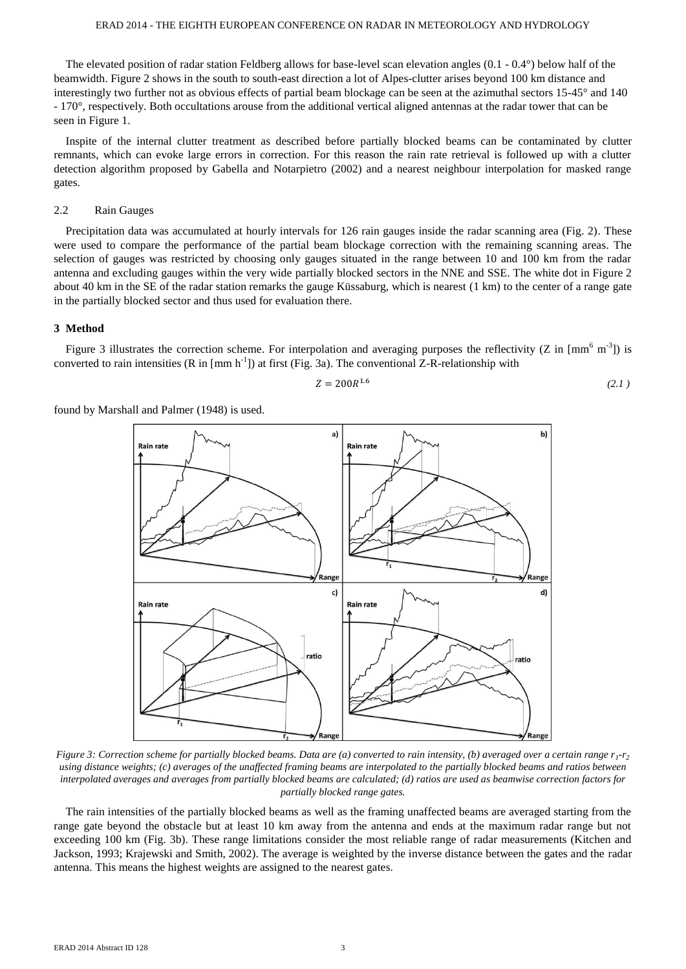#### ERAD 2014 - THE EIGHTH EUROPEAN CONFERENCE ON RADAR IN METEOROLOGY AND HYDROLOGY

The elevated position of radar station Feldberg allows for base-level scan elevation angles  $(0.1 - 0.4^{\circ})$  below half of the beamwidth. Figure 2 shows in the south to south-east direction a lot of Alpes-clutter arises beyond 100 km distance and interestingly two further not as obvious effects of partial beam blockage can be seen at the azimuthal sectors 15-45° and 140 - 170°, respectively. Both occultations arouse from the additional vertical aligned antennas at the radar tower that can be seen in Figure 1.

Inspite of the internal clutter treatment as described before partially blocked beams can be contaminated by clutter remnants, which can evoke large errors in correction. For this reason the rain rate retrieval is followed up with a clutter detection algorithm proposed by Gabella and Notarpietro (2002) and a nearest neighbour interpolation for masked range gates.

# 2.2 Rain Gauges

Precipitation data was accumulated at hourly intervals for 126 rain gauges inside the radar scanning area (Fig. 2). These were used to compare the performance of the partial beam blockage correction with the remaining scanning areas. The selection of gauges was restricted by choosing only gauges situated in the range between 10 and 100 km from the radar antenna and excluding gauges within the very wide partially blocked sectors in the NNE and SSE. The white dot in Figure 2 about 40 km in the SE of the radar station remarks the gauge Küssaburg, which is nearest (1 km) to the center of a range gate in the partially blocked sector and thus used for evaluation there.

#### **3 Method**

Figure 3 illustrates the correction scheme. For interpolation and averaging purposes the reflectivity (Z in  $\text{[mm}^6 \text{ m}^3\text{]}\text{)}$  is converted to rain intensities  $(R \text{ in } [mm \text{ h}^{-1}])$  at first (Fig. 3a). The conventional Z-R-relationship with

$$
Z = 200R^{1.6} \tag{2.1}
$$

found by Marshall and Palmer (1948) is used.



*Figure 3: Correction scheme for partially blocked beams. Data are (a) converted to rain intensity, (b) averaged over a certain range r<sup>1</sup> -r2 using distance weights; (c) averages of the unaffected framing beams are interpolated to the partially blocked beams and ratios between interpolated averages and averages from partially blocked beams are calculated; (d) ratios are used as beamwise correction factors for partially blocked range gates.*

The rain intensities of the partially blocked beams as well as the framing unaffected beams are averaged starting from the range gate beyond the obstacle but at least 10 km away from the antenna and ends at the maximum radar range but not exceeding 100 km (Fig. 3b). These range limitations consider the most reliable range of radar measurements (Kitchen and Jackson, 1993; Krajewski and Smith, 2002). The average is weighted by the inverse distance between the gates and the radar antenna. This means the highest weights are assigned to the nearest gates.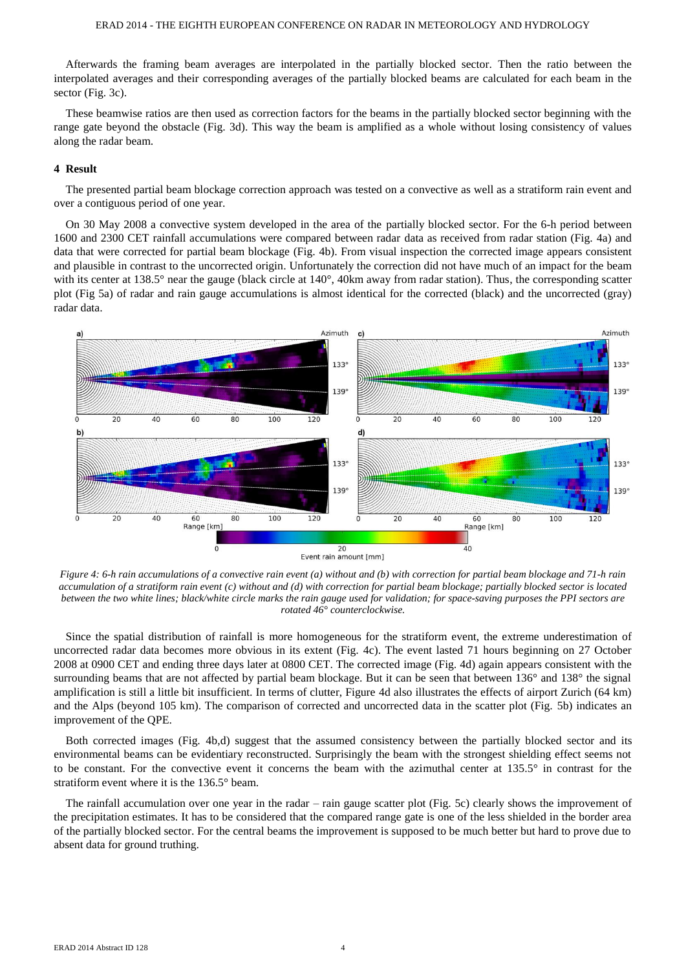Afterwards the framing beam averages are interpolated in the partially blocked sector. Then the ratio between the interpolated averages and their corresponding averages of the partially blocked beams are calculated for each beam in the sector (Fig. 3c).

These beamwise ratios are then used as correction factors for the beams in the partially blocked sector beginning with the range gate beyond the obstacle (Fig. 3d). This way the beam is amplified as a whole without losing consistency of values along the radar beam.

# **4 Result**

The presented partial beam blockage correction approach was tested on a convective as well as a stratiform rain event and over a contiguous period of one year.

On 30 May 2008 a convective system developed in the area of the partially blocked sector. For the 6-h period between 1600 and 2300 CET rainfall accumulations were compared between radar data as received from radar station (Fig. 4a) and data that were corrected for partial beam blockage (Fig. 4b). From visual inspection the corrected image appears consistent and plausible in contrast to the uncorrected origin. Unfortunately the correction did not have much of an impact for the beam with its center at 138.5° near the gauge (black circle at 140°, 40km away from radar station). Thus, the corresponding scatter plot (Fig 5a) of radar and rain gauge accumulations is almost identical for the corrected (black) and the uncorrected (gray) radar data.



*Figure 4: 6-h rain accumulations of a convective rain event (a) without and (b) with correction for partial beam blockage and 71-h rain accumulation of a stratiform rain event (c) without and (d) with correction for partial beam blockage; partially blocked sector is located between the two white lines; black/white circle marks the rain gauge used for validation; for space-saving purposes the PPI sectors are rotated 46° counterclockwise.*

Since the spatial distribution of rainfall is more homogeneous for the stratiform event, the extreme underestimation of uncorrected radar data becomes more obvious in its extent (Fig. 4c). The event lasted 71 hours beginning on 27 October 2008 at 0900 CET and ending three days later at 0800 CET. The corrected image (Fig. 4d) again appears consistent with the surrounding beams that are not affected by partial beam blockage. But it can be seen that between 136° and 138° the signal amplification is still a little bit insufficient. In terms of clutter, Figure 4d also illustrates the effects of airport Zurich (64 km) and the Alps (beyond 105 km). The comparison of corrected and uncorrected data in the scatter plot (Fig. 5b) indicates an improvement of the QPE.

Both corrected images (Fig. 4b,d) suggest that the assumed consistency between the partially blocked sector and its environmental beams can be evidentiary reconstructed. Surprisingly the beam with the strongest shielding effect seems not to be constant. For the convective event it concerns the beam with the azimuthal center at 135.5° in contrast for the stratiform event where it is the 136.5° beam.

The rainfall accumulation over one year in the radar – rain gauge scatter plot (Fig. 5c) clearly shows the improvement of the precipitation estimates. It has to be considered that the compared range gate is one of the less shielded in the border area of the partially blocked sector. For the central beams the improvement is supposed to be much better but hard to prove due to absent data for ground truthing.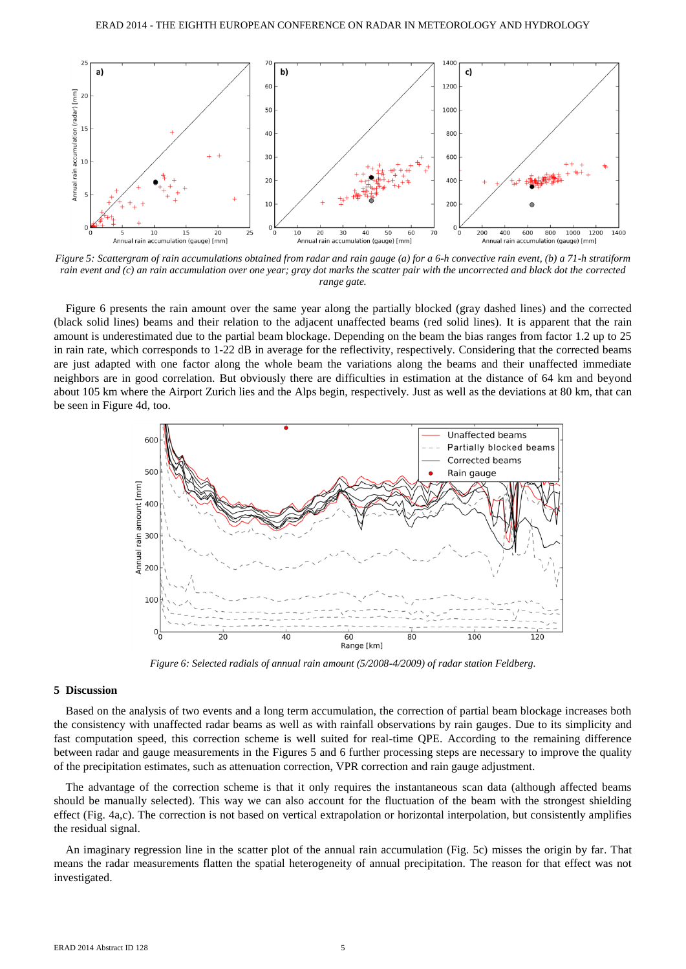

*Figure 5: Scattergram of rain accumulations obtained from radar and rain gauge (a) for a 6-h convective rain event, (b) a 71-h stratiform rain event and (c) an rain accumulation over one year; gray dot marks the scatter pair with the uncorrected and black dot the corrected range gate.*

Figure 6 presents the rain amount over the same year along the partially blocked (gray dashed lines) and the corrected (black solid lines) beams and their relation to the adjacent unaffected beams (red solid lines). It is apparent that the rain amount is underestimated due to the partial beam blockage. Depending on the beam the bias ranges from factor 1.2 up to 25 in rain rate, which corresponds to 1-22 dB in average for the reflectivity, respectively. Considering that the corrected beams are just adapted with one factor along the whole beam the variations along the beams and their unaffected immediate neighbors are in good correlation. But obviously there are difficulties in estimation at the distance of 64 km and beyond about 105 km where the Airport Zurich lies and the Alps begin, respectively. Just as well as the deviations at 80 km, that can be seen in Figure 4d, too.



*Figure 6: Selected radials of annual rain amount (5/2008-4/2009) of radar station Feldberg.*

# **5 Discussion**

Based on the analysis of two events and a long term accumulation, the correction of partial beam blockage increases both the consistency with unaffected radar beams as well as with rainfall observations by rain gauges. Due to its simplicity and fast computation speed, this correction scheme is well suited for real-time QPE. According to the remaining difference between radar and gauge measurements in the Figures 5 and 6 further processing steps are necessary to improve the quality of the precipitation estimates, such as attenuation correction, VPR correction and rain gauge adjustment.

The advantage of the correction scheme is that it only requires the instantaneous scan data (although affected beams should be manually selected). This way we can also account for the fluctuation of the beam with the strongest shielding effect (Fig. 4a,c). The correction is not based on vertical extrapolation or horizontal interpolation, but consistently amplifies the residual signal.

An imaginary regression line in the scatter plot of the annual rain accumulation (Fig. 5c) misses the origin by far. That means the radar measurements flatten the spatial heterogeneity of annual precipitation. The reason for that effect was not investigated.